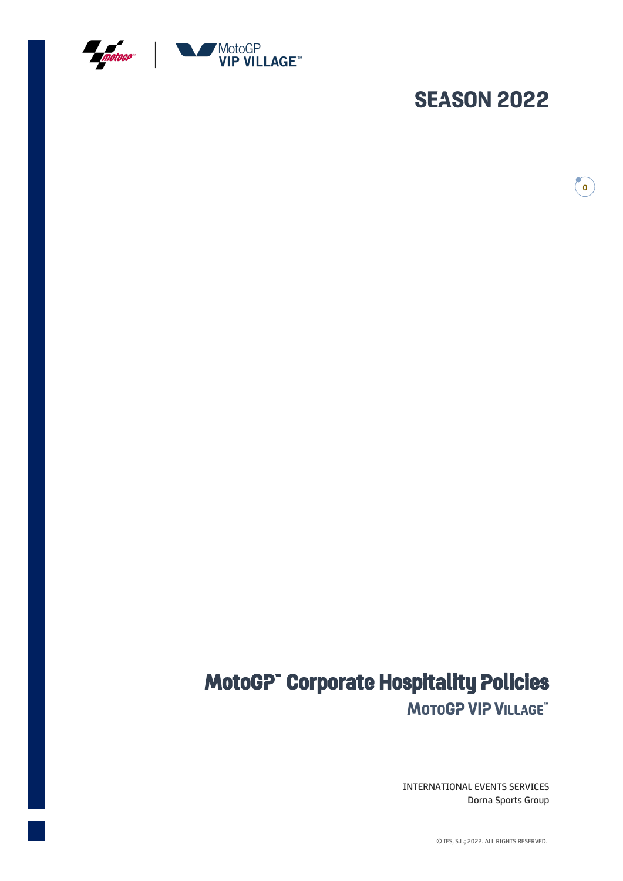

# **SEASON 2022**

**0**

# **MotoGP™ Corporate Hospitality Policies MOTOGP VIP VILLAGE™**

INTERNATIONAL EVENTS SERVICES Dorna Sports Group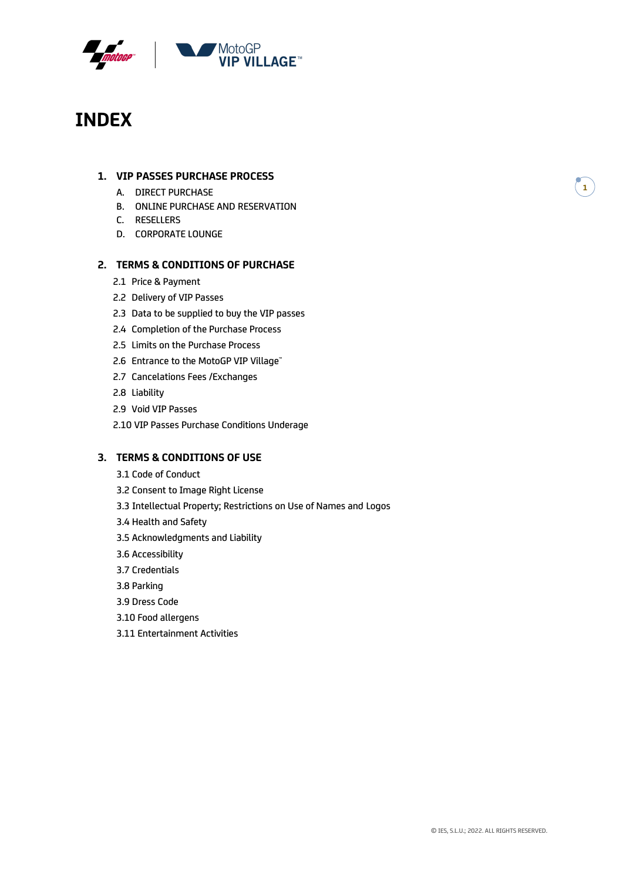

## **INDEX**

## **1. VIP PASSES PURCHASE PROCESS**

- A. DIRECT PURCHASE
- B. ONLINE PURCHASE AND RESERVATION
- C. RESELLERS
- D. CORPORATE LOUNGE

## **2. TERMS & CONDITIONS OF PURCHASE**

- 2.1 Price & Payment
- 2.2 Delivery of VIP Passes
- 2.3 Data to be supplied to buy the VIP passes
- 2.4 Completion of the Purchase Process
- 2.5 Limits on the Purchase Process
- 2.6 Entrance to the MotoGP VIP Village™
- 2.7 Cancelations Fees /Exchanges
- 2.8 Liability
- 2.9 Void VIP Passes
- 2.10 VIP Passes Purchase Conditions Underage

## **3. TERMS & CONDITIONS OF USE**

- 3.1 Code of Conduct
- 3.2 Consent to Image Right License
- 3.3 Intellectual Property; Restrictions on Use of Names and Logos
- 3.4 Health and Safety
- 3.5 Acknowledgments and Liability
- 3.6 Accessibility
- 3.7 Credentials
- 3.8 Parking
- 3.9 Dress Code
- 3.10 Food allergens
- 3.11 Entertainment Activities

**1**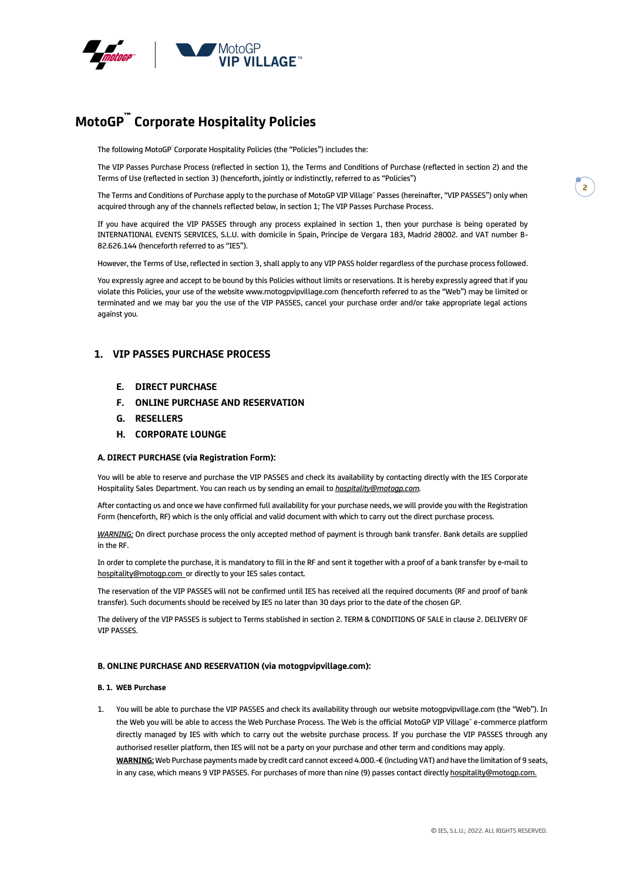

## **MotoGP™ Corporate Hospitality Policies**

The following MotoGP Corporate Hospitality Policies (the "Policies") includes the:

The VIP Passes Purchase Process (reflected in section 1), the Terms and Conditions of Purchase (reflected in section 2) and the Terms of Use (reflected in section 3) (henceforth, jointly or indistinctly, referred to as "Policies")

The Terms and Conditions of Purchase apply to the purchase of MotoGP VIP Village™ Passes (hereinafter, "VIP PASSES") only when acquired through any of the channels reflected below, in section 1; The VIP Passes Purchase Process.

If you have acquired the VIP PASSES through any process explained in section 1, then your purchase is being operated by INTERNATIONAL EVENTS SERVICES, S.L.U. with domicile in Spain, Principe de Vergara 183, Madrid 28002. and VAT number B-82.626.144 (henceforth referred to as "IES").

However, the Terms of Use, reflected in section 3, shall apply to any VIP PASS holder regardless of the purchase process followed.

You expressly agree and accept to be bound by this Policies without limits or reservations. It is hereby expressly agreed that if you violate this Policies, your use of the website www.motogpvipvillage.com (henceforth referred to as the "Web") may be limited or terminated and we may bar you the use of the VIP PASSES, cancel your purchase order and/or take appropriate legal actions against you.

## **1. VIP PASSES PURCHASE PROCESS**

- **E. DIRECT PURCHASE**
- **F. ONLINE PURCHASE AND RESERVATION**
- **G. RESELLERS**
- **H. CORPORATE LOUNGE**

#### **A. DIRECT PURCHASE (via Registration Form):**

You will be able to reserve and purchase the VIP PASSES and check its availability by contacting directly with the IES Corporate Hospitality Sales Department. You can reach us by sending an email to *[hospitality@motogp.com.](mailto:hospitality@motogp.com)*

After contacting us and once we have confirmed full availability for your purchase needs, we will provide you with the Registration Form (henceforth, RF) which is the only official and valid document with which to carry out the direct purchase process.

*WARNING:* On direct purchase process the only accepted method of payment is through bank transfer. Bank details are supplied in the RF.

In order to complete the purchase, it is mandatory to fill in the RF and sent it together with a proof of a bank transfer by e-mail to [hospitality@motogp.com](mailto:hospitality@motogp.com) or directly to your IES sales contact*.*

The reservation of the VIP PASSES will not be confirmed until IES has received all the required documents (RF and proof of bank transfer). Such documents should be received by IES no later than 30 days prior to the date of the chosen GP.

The delivery of the VIP PASSES is subject to Terms stablished in section 2. TERM & CONDITIONS OF SALE in clause 2. DELIVERY OF VIP PASSES.

#### **B. ONLINE PURCHASE AND RESERVATION (via motogpvipvillage.com):**

#### **B. 1. WEB Purchase**

1. You will be able to purchase the VIP PASSES and check its availability through our website motogpvipvillage.com (the "Web"). In the Web you will be able to access the Web Purchase Process. The Web is the official MotoGP VIP Village™ e-commerce platform directly managed by IES with which to carry out the website purchase process. If you purchase the VIP PASSES through any authorised reseller platform, then IES will not be a party on your purchase and other term and conditions may apply.

**WARNING:** Web Purchase payments made by credit card cannot exceed 4.000.-€ (including VAT) and have the limitation of 9 seats, in any case, which means 9 VIP PASSES. For purchases of more than nine (9) passes contact directly [hospitality@motogp.com.](mailto:hospitality@motogp.com)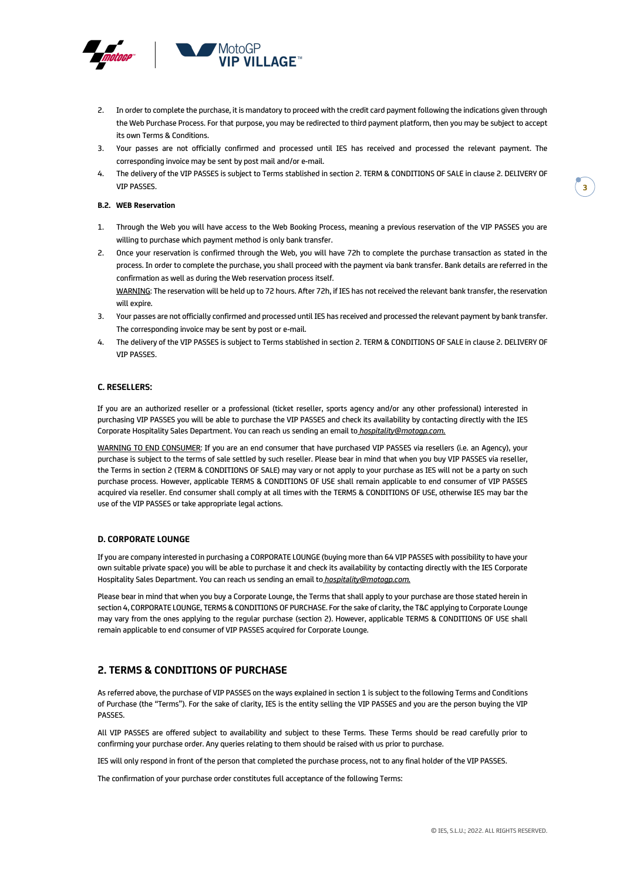

- 2. In order to complete the purchase, it is mandatory to proceed with the credit card payment following the indications given through the Web Purchase Process. For that purpose, you may be redirected to third payment platform, then you may be subject to accept its own Terms & Conditions.
- 3. Your passes are not officially confirmed and processed until IES has received and processed the relevant payment. The corresponding invoice may be sent by post mail and/or e-mail.
- 4. The delivery of the VIP PASSES is subject to Terms stablished in section 2. TERM & CONDITIONS OF SALE in clause 2. DELIVERY OF VIP PASSES.

#### **B.2. WEB Reservation**

- 1. Through the Web you will have access to the Web Booking Process, meaning a previous reservation of the VIP PASSES you are willing to purchase which payment method is only bank transfer.
- 2. Once your reservation is confirmed through the Web, you will have 72h to complete the purchase transaction as stated in the process. In order to complete the purchase, you shall proceed with the payment via bank transfer. Bank details are referred in the confirmation as well as during the Web reservation process itself.

WARNING: The reservation will be held up to 72 hours. After 72h, if IES has not received the relevant bank transfer, the reservation will expire.

- 3. Your passes are not officially confirmed and processed until IES has received and processed the relevant payment by bank transfer. The corresponding invoice may be sent by post or e-mail.
- 4. The delivery of the VIP PASSES is subject to Terms stablished in section 2. TERM & CONDITIONS OF SALE in clause 2. DELIVERY OF VIP PASSES.

#### **C. RESELLERS:**

If you are an authorized reseller or a professional (ticket reseller, sports agency and/or any other professional) interested in purchasing VIP PASSES you will be able to purchase the VIP PASSES and check its availability by contacting directly with the IES Corporate Hospitality Sales Department. You can reach us sending an email to *[hospitality@motogp.com.](mailto:motogpvipvillage@dorna.com)*

WARNING TO END CONSUMER: If you are an end consumer that have purchased VIP PASSES via resellers (i.e. an Agency), your purchase is subject to the terms of sale settled by such reseller. Please bear in mind that when you buy VIP PASSES via reseller, the Terms in section 2 (TERM & CONDITIONS OF SALE) may vary or not apply to your purchase as IES will not be a party on such purchase process. However, applicable TERMS & CONDITIONS OF USE shall remain applicable to end consumer of VIP PASSES acquired via reseller. End consumer shall comply at all times with the TERMS & CONDITIONS OF USE, otherwise IES may bar the use of the VIP PASSES or take appropriate legal actions.

#### **D. CORPORATE LOUNGE**

If you are company interested in purchasing a CORPORATE LOUNGE (buying more than 64 VIP PASSES with possibility to have your own suitable private space) you will be able to purchase it and check its availability by contacting directly with the IES Corporate Hospitality Sales Department. You can reach us sending an email to *[hospitality@motogp.com.](mailto:motogpvipvillage@dorna.com)*

Please bear in mind that when you buy a Corporate Lounge, the Terms that shall apply to your purchase are those stated herein in section 4, CORPORATE LOUNGE, TERMS & CONDITIONS OF PURCHASE. For the sake of clarity, the T&C applying to Corporate Lounge may vary from the ones applying to the regular purchase (section 2). However, applicable TERMS & CONDITIONS OF USE shall remain applicable to end consumer of VIP PASSES acquired for Corporate Lounge.

## **2. TERMS & CONDITIONS OF PURCHASE**

As referred above, the purchase of VIP PASSES on the ways explained in section 1 is subject to the following Terms and Conditions of Purchase (the "Terms"). For the sake of clarity, IES is the entity selling the VIP PASSES and you are the person buying the VIP PASSES.

All VIP PASSES are offered subject to availability and subject to these Terms. These Terms should be read carefully prior to confirming your purchase order. Any queries relating to them should be raised with us prior to purchase.

IES will only respond in front of the person that completed the purchase process, not to any final holder of the VIP PASSES.

The confirmation of your purchase order constitutes full acceptance of the following Terms: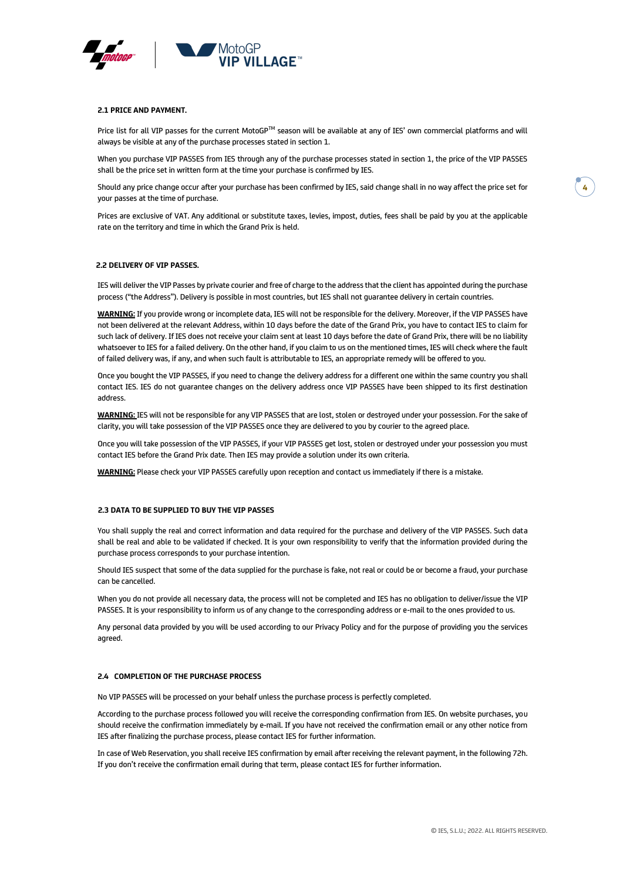

#### **2.1 PRICE AND PAYMENT.**

Price list for all VIP passes for the current MotoGP™ season will be available at any of IES' own commercial platforms and will always be visible at any of the purchase processes stated in section 1.

When you purchase VIP PASSES from IES through any of the purchase processes stated in section 1, the price of the VIP PASSES shall be the price set in written form at the time your purchase is confirmed by IES.

Should any price change occur after your purchase has been confirmed by IES, said change shall in no way affect the price set for your passes at the time of purchase.

Prices are exclusive of VAT. Any additional or substitute taxes, levies, impost, duties, fees shall be paid by you at the applicable rate on the territory and time in which the Grand Prix is held.

#### **2.2 DELIVERY OF VIP PASSES.**

IES will deliver the VIP Passes by private courier and free of charge to the address that the client has appointed during the purchase process ("the Address"). Delivery is possible in most countries, but IES shall not guarantee delivery in certain countries.

**WARNING:** If you provide wrong or incomplete data, IES will not be responsible for the delivery. Moreover, if the VIP PASSES have not been delivered at the relevant Address, within 10 days before the date of the Grand Prix, you have to contact IES to claim for such lack of delivery. If IES does not receive your claim sent at least 10 days before the date of Grand Prix, there will be no liability whatsoever to IES for a failed delivery. On the other hand, if you claim to us on the mentioned times, IES will check where the fault of failed delivery was, if any, and when such fault is attributable to IES, an appropriate remedy will be offered to you.

Once you bought the VIP PASSES, if you need to change the delivery address for a different one within the same country you shall contact IES. IES do not guarantee changes on the delivery address once VIP PASSES have been shipped to its first destination address.

**WARNING:** IES will not be responsible for any VIP PASSES that are lost, stolen or destroyed under your possession. For the sake of clarity, you will take possession of the VIP PASSES once they are delivered to you by courier to the agreed place.

Once you will take possession of the VIP PASSES, if your VIP PASSES get lost, stolen or destroyed under your possession you must contact IES before the Grand Prix date. Then IES may provide a solution under its own criteria.

**WARNING:** Please check your VIP PASSES carefully upon reception and contact us immediately if there is a mistake.

#### **2.3 DATA TO BE SUPPLIED TO BUY THE VIP PASSES**

You shall supply the real and correct information and data required for the purchase and delivery of the VIP PASSES. Such data shall be real and able to be validated if checked. It is your own responsibility to verify that the information provided during the purchase process corresponds to your purchase intention.

Should IES suspect that some of the data supplied for the purchase is fake, not real or could be or become a fraud, your purchase can be cancelled.

When you do not provide all necessary data, the process will not be completed and IES has no obligation to deliver/issue the VIP PASSES. It is your responsibility to inform us of any change to the corresponding address or e-mail to the ones provided to us.

Any personal data provided by you will be used according to our Privacy Policy and for the purpose of providing you the services agreed.

#### **2.4 COMPLETION OF THE PURCHASE PROCESS**

No VIP PASSES will be processed on your behalf unless the purchase process is perfectly completed.

According to the purchase process followed you will receive the corresponding confirmation from IES. On website purchases, you should receive the confirmation immediately by e-mail. If you have not received the confirmation email or any other notice from IES after finalizing the purchase process, please contact IES for further information.

In case of Web Reservation, you shall receive IES confirmation by email after receiving the relevant payment, in the following 72h. If you don't receive the confirmation email during that term, please contact IES for further information.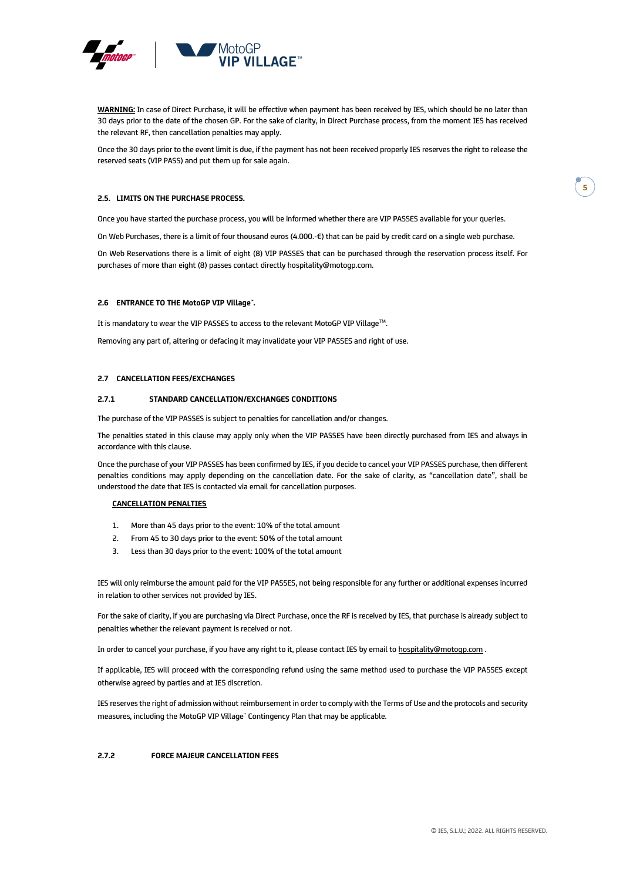

**WARNING:** In case of Direct Purchase, it will be effective when payment has been received by IES, which should be no later than 30 days prior to the date of the chosen GP. For the sake of clarity, in Direct Purchase process, from the moment IES has received the relevant RF, then cancellation penalties may apply.

Once the 30 days prior to the event limit is due, if the payment has not been received properly IES reserves the right to release the reserved seats (VIP PASS) and put them up for sale again.

#### **2.5. LIMITS ON THE PURCHASE PROCESS.**

Once you have started the purchase process, you will be informed whether there are VIP PASSES available for your queries.

On Web Purchases, there is a limit of four thousand euros (4.000.-€) that can be paid by credit card on a single web purchase.

On Web Reservations there is a limit of eight (8) VIP PASSES that can be purchased through the reservation process itself. For purchases of more than eight (8) passes contact directly hospitality@motogp.com.

#### **2.6 ENTRANCE TO THE MotoGP VIP Village™.**

It is mandatory to wear the VIP PASSES to access to the relevant MotoGP VIP Village™.

Removing any part of, altering or defacing it may invalidate your VIP PASSES and right of use.

#### **2.7 CANCELLATION FEES/EXCHANGES**

#### **2.7.1 STANDARD CANCELLATION/EXCHANGES CONDITIONS**

The purchase of the VIP PASSES is subject to penalties for cancellation and/or changes.

The penalties stated in this clause may apply only when the VIP PASSES have been directly purchased from IES and always in accordance with this clause.

Once the purchase of your VIP PASSES has been confirmed by IES, if you decide to cancel your VIP PASSES purchase, then different penalties conditions may apply depending on the cancellation date. For the sake of clarity, as "cancellation date", shall be understood the date that IES is contacted via email for cancellation purposes.

#### **CANCELLATION PENALTIES**

- 1. More than 45 days prior to the event: 10% of the total amount
- 2. From 45 to 30 days prior to the event: 50% of the total amount
- 3. Less than 30 days prior to the event: 100% of the total amount

IES will only reimburse the amount paid for the VIP PASSES, not being responsible for any further or additional expenses incurred in relation to other services not provided by IES.

For the sake of clarity, if you are purchasing via Direct Purchase, once the RF is received by IES, that purchase is already subject to penalties whether the relevant payment is received or not.

In order to cancel your purchase, if you have any right to it, please contact IES by email to [hospitality@motogp.com](mailto:hospitality@motogp.com) .

If applicable, IES will proceed with the corresponding refund using the same method used to purchase the VIP PASSES except otherwise agreed by parties and at IES discretion.

IES reserves the right of admission without reimbursement in order to comply with the Terms of Use and the protocols and security measures, including the MotoGP VIP Village" Contingency Plan that may be applicable.

#### **2.7.2 FORCE MAJEUR CANCELLATION FEES**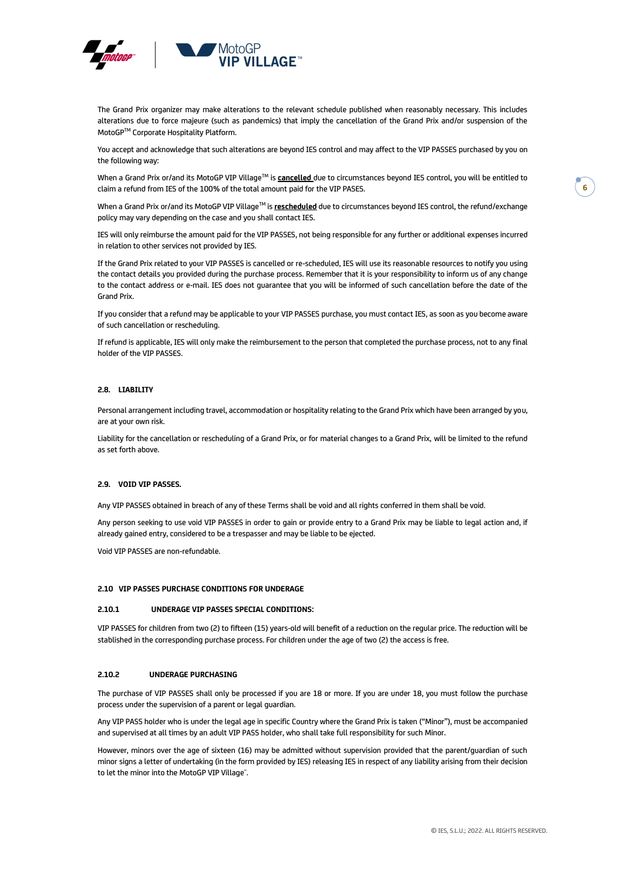

The Grand Prix organizer may make alterations to the relevant schedule published when reasonably necessary. This includes alterations due to force majeure (such as pandemics) that imply the cancellation of the Grand Prix and/or suspension of the MotoGPTM Corporate Hospitality Platform.

You accept and acknowledge that such alterations are beyond IES control and may affect to the VIP PASSES purchased by you on the following way:

When a Grand Prix or/and its MotoGP VIP Village™ is **cancelled** due to circumstances beyond IES control, you will be entitled to claim a refund from IES of the 100% of the total amount paid for the VIP PASES.

When a Grand Prix or/and its MotoGP VIP VillageTM is **rescheduled** due to circumstances beyond IES control, the refund/exchange policy may vary depending on the case and you shall contact IES.

IES will only reimburse the amount paid for the VIP PASSES, not being responsible for any further or additional expenses incurred in relation to other services not provided by IES.

If the Grand Prix related to your VIP PASSES is cancelled or re-scheduled, IES will use its reasonable resources to notify you using the contact details you provided during the purchase process. Remember that it is your responsibility to inform us of any change to the contact address or e-mail. IES does not guarantee that you will be informed of such cancellation before the date of the Grand Prix.

If you consider that a refund may be applicable to your VIP PASSES purchase, you must contact IES, as soon as you become aware of such cancellation or rescheduling.

If refund is applicable, IES will only make the reimbursement to the person that completed the purchase process, not to any final holder of the VIP PASSES.

#### **2.8. LIABILITY**

Personal arrangement including travel, accommodation or hospitality relating to the Grand Prix which have been arranged by you, are at your own risk.

Liability for the cancellation or rescheduling of a Grand Prix, or for material changes to a Grand Prix, will be limited to the refund as set forth above.

#### **2.9. VOID VIP PASSES.**

Any VIP PASSES obtained in breach of any of these Terms shall be void and all rights conferred in them shall be void.

Any person seeking to use void VIP PASSES in order to gain or provide entry to a Grand Prix may be liable to legal action and, if already gained entry, considered to be a trespasser and may be liable to be ejected.

Void VIP PASSES are non-refundable.

#### **2.10 VIP PASSES PURCHASE CONDITIONS FOR UNDERAGE**

#### **2.10.1 UNDERAGE VIP PASSES SPECIAL CONDITIONS:**

VIP PASSES for children from two (2) to fifteen (15) years-old will benefit of a reduction on the regular price. The reduction will be stablished in the corresponding purchase process. For children under the age of two (2) the access is free.

#### **2.10.2 UNDERAGE PURCHASING**

The purchase of VIP PASSES shall only be processed if you are 18 or more. If you are under 18, you must follow the purchase process under the supervision of a parent or legal guardian.

Any VIP PASS holder who is under the legal age in specific Country where the Grand Prix is taken ("Minor"), must be accompanied and supervised at all times by an adult VIP PASS holder, who shall take full responsibility for such Minor.

However, minors over the age of sixteen (16) may be admitted without supervision provided that the parent/guardian of such minor signs a letter of undertaking (in the form provided by IES) releasing IES in respect of any liability arising from their decision to let the minor into the MotoGP VIP Village".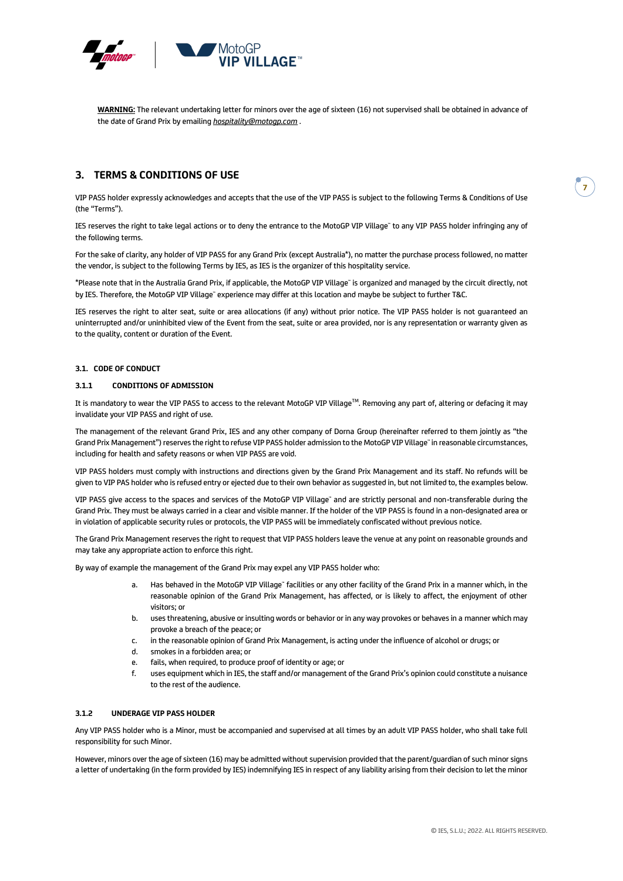

**WARNING:** The relevant undertaking letter for minors over the age of sixteen (16) not supervised shall be obtained in advance of the date of Grand Prix by emailing *[hospitality@motogp.com](mailto:motogpvipvillage@dorna.com)* .

## **3. TERMS & CONDITIONS OF USE**

VIP PASS holder expressly acknowledges and accepts that the use of the VIP PASS is subject to the following Terms & Conditions of Use (the "Terms").

IES reserves the right to take legal actions or to deny the entrance to the MotoGP VIP Village™ to any VIP PASS holder infringing any of the following terms.

For the sake of clarity, any holder of VIP PASS for any Grand Prix (except Australia\*), no matter the purchase process followed, no matter the vendor, is subject to the following Terms by IES, as IES is the organizer of this hospitality service.

\*Please note that in the Australia Grand Prix, if applicable, the MotoGP VIP Village™ is organized and managed by the circuit directly, not by IES. Therefore, the MotoGP VIP Village™ experience may differ at this location and maybe be subject to further T&C.

IES reserves the right to alter seat, suite or area allocations (if any) without prior notice. The VIP PASS holder is not guaranteed an uninterrupted and/or uninhibited view of the Event from the seat, suite or area provided, nor is any representation or warranty given as to the quality, content or duration of the Event.

#### **3.1. CODE OF CONDUCT**

#### **3.1.1 CONDITIONS OF ADMISSION**

It is mandatory to wear the VIP PASS to access to the relevant MotoGP VIP Village™. Removing any part of, altering or defacing it may invalidate your VIP PASS and right of use.

The management of the relevant Grand Prix, IES and any other company of Dorna Group (hereinafter referred to them jointly as "the Grand Prix Management") reserves the right to refuse VIP PASS holder admission to the MotoGP VIP Village™ in reasonable circumstances, including for health and safety reasons or when VIP PASS are void.

VIP PASS holders must comply with instructions and directions given by the Grand Prix Management and its staff. No refunds will be given to VIP PAS holder who is refused entry or ejected due to their own behavior as suggested in, but not limited to, the examples below.

VIP PASS give access to the spaces and services of the MotoGP VIP Village™ and are strictly personal and non-transferable during the Grand Prix. They must be always carried in a clear and visible manner. If the holder of the VIP PASS is found in a non-designated area or in violation of applicable security rules or protocols, the VIP PASS will be immediately confiscated without previous notice.

The Grand Prix Management reserves the right to request that VIP PASS holders leave the venue at any point on reasonable grounds and may take any appropriate action to enforce this right.

By way of example the management of the Grand Prix may expel any VIP PASS holder who:

- a. Has behaved in the MotoGP VIP Village" facilities or any other facility of the Grand Prix in a manner which, in the reasonable opinion of the Grand Prix Management, has affected, or is likely to affect, the enjoyment of other visitors; or
- b. uses threatening, abusive or insulting words or behavior or in any way provokes or behaves in a manner which may provoke a breach of the peace; or
- c. in the reasonable opinion of Grand Prix Management, is acting under the influence of alcohol or drugs; or
- d. smokes in a forbidden area; or
- e. fails, when required, to produce proof of identity or age; or
- f. uses equipment which in IES, the staff and/or management of the Grand Prix's opinion could constitute a nuisance to the rest of the audience.

#### **3.1.2 UNDERAGE VIP PASS HOLDER**

Any VIP PASS holder who is a Minor, must be accompanied and supervised at all times by an adult VIP PASS holder, who shall take full responsibility for such Minor.

However, minors over the age of sixteen (16) may be admitted without supervision provided that the parent/guardian of such minor signs a letter of undertaking (in the form provided by IES) indemnifying IES in respect of any liability arising from their decision to let the minor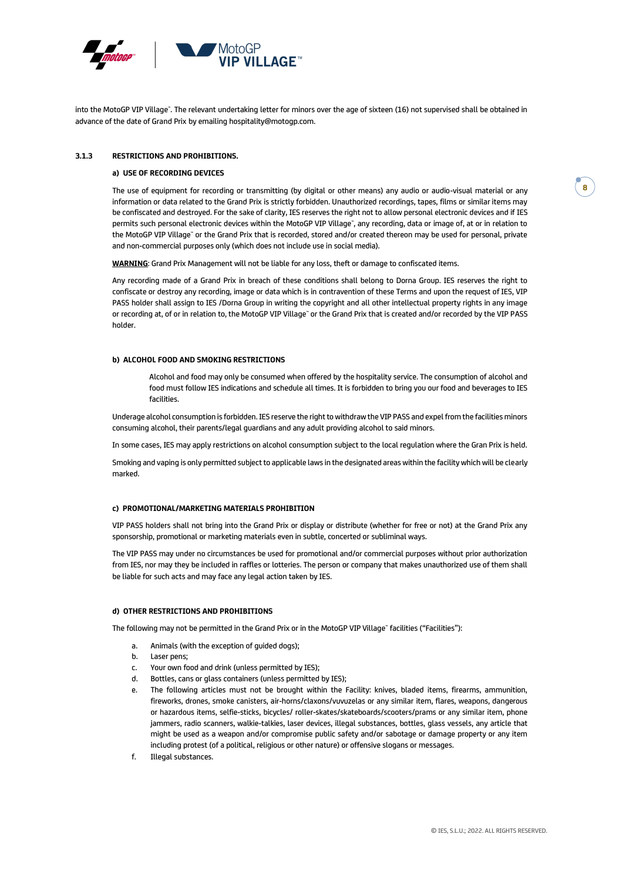

into the MotoGP VIP Village". The relevant undertaking letter for minors over the age of sixteen (16) not supervised shall be obtained in advance of the date of Grand Prix by emailing hospitality@motogp.com.

#### **3.1.3 RESTRICTIONS AND PROHIBITIONS.**

#### **a) USE OF RECORDING DEVICES**

The use of equipment for recording or transmitting (by digital or other means) any audio or audio-visual material or any information or data related to the Grand Prix is strictly forbidden. Unauthorized recordings, tapes, films or similar items may be confiscated and destroyed. For the sake of clarity, IES reserves the right not to allow personal electronic devices and if IES permits such personal electronic devices within the MotoGP VIP Village", any recording, data or image of, at or in relation to the MotoGP VIP Village™ or the Grand Prix that is recorded, stored and/or created thereon may be used for personal, private and non-commercial purposes only (which does not include use in social media).

**WARNING**: Grand Prix Management will not be liable for any loss, theft or damage to confiscated items.

Any recording made of a Grand Prix in breach of these conditions shall belong to Dorna Group. IES reserves the right to confiscate or destroy any recording, image or data which is in contravention of these Terms and upon the request of IES, VIP PASS holder shall assign to IES /Dorna Group in writing the copyright and all other intellectual property rights in any image or recording at, of or in relation to, the MotoGP VIP Village" or the Grand Prix that is created and/or recorded by the VIP PASS holder.

#### **b) ALCOHOL FOOD AND SMOKING RESTRICTIONS**

Alcohol and food may only be consumed when offered by the hospitality service. The consumption of alcohol and food must follow IES indications and schedule all times. It is forbidden to bring you our food and beverages to IES facilities.

Underage alcohol consumption is forbidden. IES reserve the right to withdraw the VIP PASS and expel from the facilities minors consuming alcohol, their parents/legal guardians and any adult providing alcohol to said minors.

In some cases, IES may apply restrictions on alcohol consumption subject to the local regulation where the Gran Prix is held.

Smoking and vaping is only permitted subject to applicable laws in the designated areas within the facility which will be clearly marked.

#### **c) PROMOTIONAL/MARKETING MATERIALS PROHIBITION**

VIP PASS holders shall not bring into the Grand Prix or display or distribute (whether for free or not) at the Grand Prix any sponsorship, promotional or marketing materials even in subtle, concerted or subliminal ways.

The VIP PASS may under no circumstances be used for promotional and/or commercial purposes without prior authorization from IES, nor may they be included in raffles or lotteries. The person or company that makes unauthorized use of them shall be liable for such acts and may face any legal action taken by IES.

#### **d) OTHER RESTRICTIONS AND PROHIBITIONS**

The following may not be permitted in the Grand Prix or in the MotoGP VIP Village™ facilities ("Facilities"):

- a. Animals (with the exception of guided dogs);
- b. Laser pens;
- c. Your own food and drink (unless permitted by IES);
- d. Bottles, cans or glass containers (unless permitted by IES);
- e. The following articles must not be brought within the Facility: knives, bladed items, firearms, ammunition, fireworks, drones, smoke canisters, air-horns/claxons/vuvuzelas or any similar item, flares, weapons, dangerous or hazardous items, selfie-sticks, bicycles/ roller-skates/skateboards/scooters/prams or any similar item, phone jammers, radio scanners, walkie-talkies, laser devices, illegal substances, bottles, glass vessels, any article that might be used as a weapon and/or compromise public safety and/or sabotage or damage property or any item including protest (of a political, religious or other nature) or offensive slogans or messages.
- f. Illegal substances.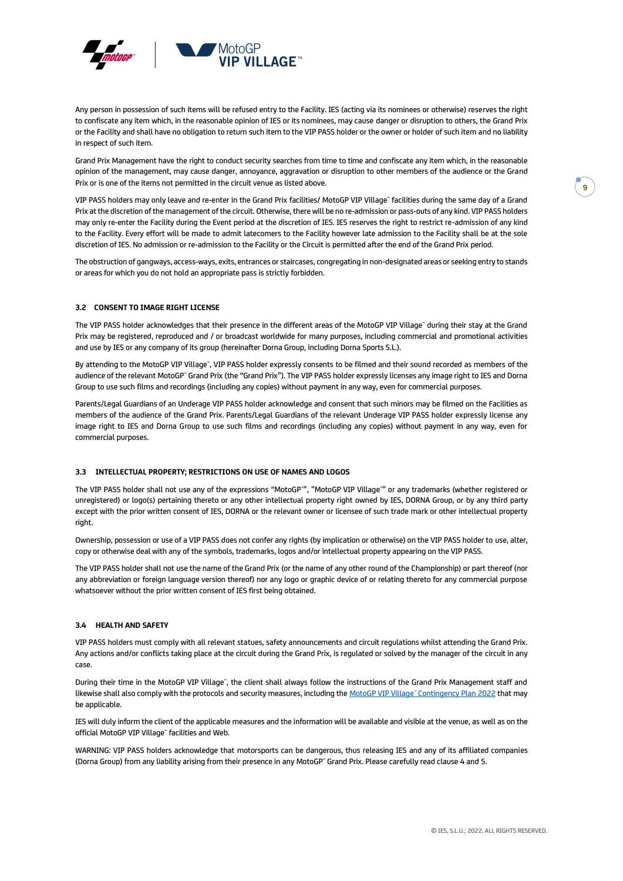

Any person in possession of such items will be refused entry to the Facility. IES (acting via its nominees or otherwise) reserves the right to confiscate any item which, in the reasonable opinion of IES or its nominees, may cause danger or disruption to others, the Grand Prix or the Facility and shall have no obligation to return such item to the VIP PASS holder or the owner or holder of such item and no liability in respect of such item.

Grand Prix Management have the right to conduct security searches from time to time and confiscate any item which, in the reasonable opinion of the management, may cause danger, annoyance, aggravation or disruption to other members of the audience or the Grand Prix or is one of the items not permitted in the circuit venue as listed above.

VIP PASS holders may only leave and re-enter in the Grand Prix facilities/ MotoGP VIP Village™ facilities during the same day of a Grand Prix at the discretion of the management of the circuit. Otherwise, there will be no re-admission or pass-outs of any kind. VIP PASS holders may only re-enter the Facility during the Event period at the discretion of IES. IES reserves the right to restrict re-admission of any kind to the Facility. Every effort will be made to admit latecomers to the Facility however late admission to the Facility shall be at the sole discretion of IES. No admission or re-admission to the Facility or the Circuit is permitted after the end of the Grand Prix period.

The obstruction of gangways, access-ways, exits, entrances or staircases, congregating in non-designated areas or seeking entry to stands or areas for which you do not hold an appropriate pass is strictly forbidden.

#### **3.2 CONSENT TO IMAGE RIGHT LICENSE**

The VIP PASS holder acknowledges that their presence in the different areas of the MotoGP VIP Village™ during their stay at the Grand Prix may be registered, reproduced and / or broadcast worldwide for many purposes, including commercial and promotional activities and use by IES or any company of its group (hereinafter Dorna Group, including Dorna Sports S.L.).

By attending to the MotoGP VIP Village", VIP PASS holder expressly consents to be filmed and their sound recorded as members of the audience of the relevant MotoGP" Grand Prix (the "Grand Prix"). The VIP PASS holder expressly licenses any image right to IES and Dorna Group to use such films and recordings (including any copies) without payment in any way, even for commercial purposes.

Parents/Legal Guardians of an Underage VIP PASS holder acknowledge and consent that such minors may be filmed on the Facilities as members of the audience of the Grand Prix. Parents/Legal Guardians of the relevant Underage VIP PASS holder expressly license any image right to IES and Dorna Group to use such films and recordings (including any copies) without payment in any way, even for commercial purposes.

#### **3.3 INTELLECTUAL PROPERTY; RESTRICTIONS ON USE OF NAMES AND LOGOS**

The VIP PASS holder shall not use any of the expressions "MotoGP™", "MotoGP VIP Village™" or any trademarks (whether registered or unregistered) or logo(s) pertaining thereto or any other intellectual property right owned by IES, DORNA Group, or by any third party except with the prior written consent of IES, DORNA or the relevant owner or licensee of such trade mark or other intellectual property right.

Ownership, possession or use of a VIP PASS does not confer any rights (by implication or otherwise) on the VIP PASS holder to use, alter, copy or otherwise deal with any of the symbols, trademarks, logos and/or intellectual property appearing on the VIP PASS.

The VIP PASS holder shall not use the name of the Grand Prix (or the name of any other round of the Championship) or part thereof (nor any abbreviation or foreign language version thereof) nor any logo or graphic device of or relating thereto for any commercial purpose whatsoever without the prior written consent of IES first being obtained.

#### **3.4 HEALTH AND SAFETY**

VIP PASS holders must comply with all relevant statues, safety announcements and circuit regulations whilst attending the Grand Prix. Any actions and/or conflicts taking place at the circuit during the Grand Prix, is regulated or solved by the manager of the circuit in any case.

During their time in the MotoGP VIP Village", the client shall always follow the instructions of the Grand Prix Management staff and likewise shall also comply with the protocols and security measures, including the [MotoGP VIP Village™ Contingency](https://vipvillage.motogp.com/wp-content/uploads/2022/02/ENG_2022_MotoGP-VIP-Village-Contingency-Plan.pdf) Plan 2022 that may be applicable.

IES will duly inform the client of the applicable measures and the information will be available and visible at the venue, as well as on the official MotoGP VIP Village" facilities and Web.

WARNING: VIP PASS holders acknowledge that motorsports can be dangerous, thus releasing IES and any of its affiliated companies (Dorna Group) from any liability arising from their presence in any MotoGP™ Grand Prix. Please carefully read clause 4 and 5.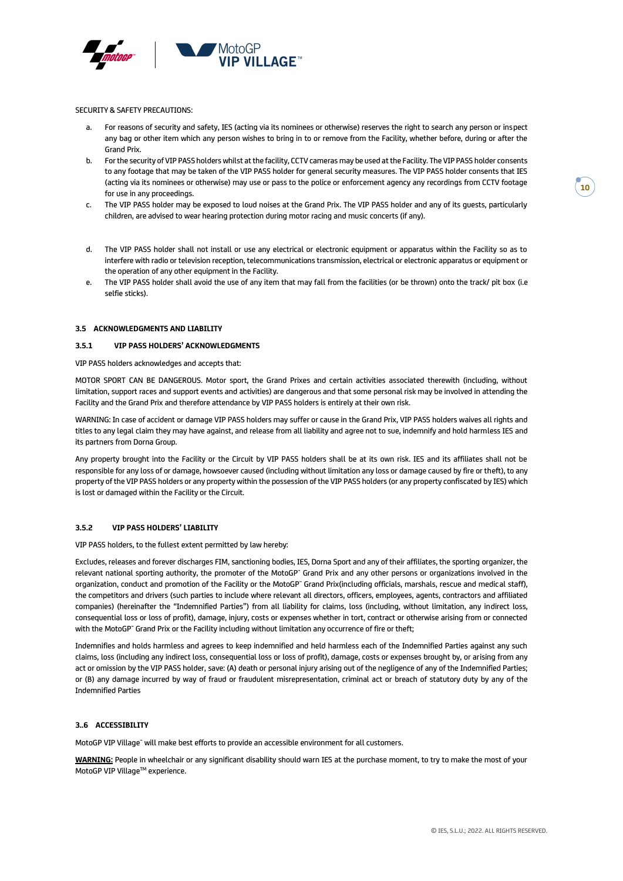

SECURITY & SAFETY PRECAUTIONS:

- For reasons of security and safety, IES (acting via its nominees or otherwise) reserves the right to search any person or inspect any bag or other item which any person wishes to bring in to or remove from the Facility, whether before, during or after the Grand Prix.
- b. For the security of VIP PASS holders whilst at the facility, CCTV cameras may be used at the Facility. The VIP PASS holder consents to any footage that may be taken of the VIP PASS holder for general security measures. The VIP PASS holder consents that IES (acting via its nominees or otherwise) may use or pass to the police or enforcement agency any recordings from CCTV footage for use in any proceedings.
- c. The VIP PASS holder may be exposed to loud noises at the Grand Prix. The VIP PASS holder and any of its guests, particularly children, are advised to wear hearing protection during motor racing and music concerts (if any).
- d. The VIP PASS holder shall not install or use any electrical or electronic equipment or apparatus within the Facility so as to interfere with radio or television reception, telecommunications transmission, electrical or electronic apparatus or equipment or the operation of any other equipment in the Facility.
- e. The VIP PASS holder shall avoid the use of any item that may fall from the facilities (or be thrown) onto the track/ pit box (i.e selfie sticks).

#### **3.5 ACKNOWLEDGMENTS AND LIABILITY**

#### **3.5.1 VIP PASS HOLDERS' ACKNOWLEDGMENTS**

VIP PASS holders acknowledges and accepts that:

MOTOR SPORT CAN BE DANGEROUS. Motor sport, the Grand Prixes and certain activities associated therewith (including, without limitation, support races and support events and activities) are dangerous and that some personal risk may be involved in attending the Facility and the Grand Prix and therefore attendance by VIP PASS holders is entirely at their own risk.

WARNING: In case of accident or damage VIP PASS holders may suffer or cause in the Grand Prix, VIP PASS holders waives all rights and titles to any legal claim they may have against, and release from all liability and agree not to sue, indemnify and hold harmless IES and its partners from Dorna Group.

Any property brought into the Facility or the Circuit by VIP PASS holders shall be at its own risk. IES and its affiliates shall not be responsible for any loss of or damage, howsoever caused (including without limitation any loss or damage caused by fire or theft), to any property of the VIP PASS holders or any property within the possession of the VIP PASS holders (or any property confiscated by IES) which is lost or damaged within the Facility or the Circuit.

#### **3.5.2 VIP PASS HOLDERS' LIABILITY**

VIP PASS holders, to the fullest extent permitted by law hereby:

Excludes, releases and forever discharges FIM, sanctioning bodies, IES, Dorna Sport and any of their affiliates, the sporting organizer, the relevant national sporting authority, the promoter of the MotoGP™ Grand Prix and any other persons or organizations involved in the organization, conduct and promotion of the Facility or the MotoGP™ Grand Prix(including officials, marshals, rescue and medical staff), the competitors and drivers (such parties to include where relevant all directors, officers, employees, agents, contractors and affiliated companies) (hereinafter the "Indemnified Parties") from all liability for claims, loss (including, without limitation, any indirect loss, consequential loss or loss of profit), damage, injury, costs or expenses whether in tort, contract or otherwise arising from or connected with the MotoGP™ Grand Prix or the Facility including without limitation any occurrence of fire or theft;

Indemnifies and holds harmless and agrees to keep indemnified and held harmless each of the Indemnified Parties against any such claims, loss (including any indirect loss, consequential loss or loss of profit), damage, costs or expenses brought by, or arising from any act or omission by the VIP PASS holder, save: (A) death or personal injury arising out of the negligence of any of the Indemnified Parties; or (B) any damage incurred by way of fraud or fraudulent misrepresentation, criminal act or breach of statutory duty by any of the Indemnified Parties

#### **3..6 ACCESSIBILITY**

MotoGP VIP Village™ will make best efforts to provide an accessible environment for all customers.

**WARNING:** People in wheelchair or any significant disability should warn IES at the purchase moment, to try to make the most of your MotoGP VIP Village™ experience.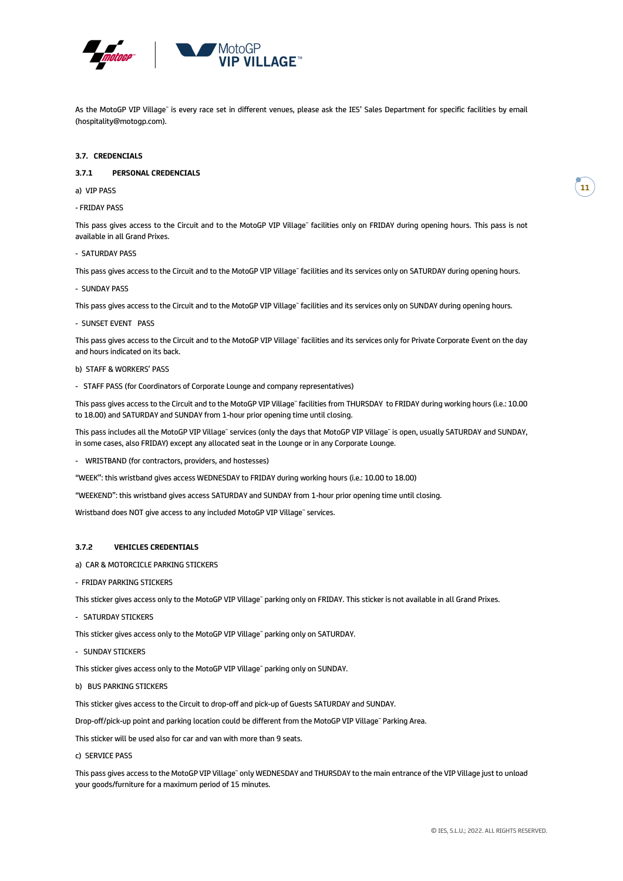

As the MotoGP VIP Village" is every race set in different venues, please ask the IES' Sales Department for specific facilities by email (hospitality@motogp.com).

#### **3.7. CREDENCIALS**

#### **3.7.1 PERSONAL CREDENCIALS**

a) VIP PASS

- FRIDAY PASS

This pass gives access to the Circuit and to the MotoGP VIP Village™ facilities only on FRIDAY during opening hours. This pass is not available in all Grand Prixes.

- SATURDAY PASS

This pass gives access to the Circuit and to the MotoGP VIP Village" facilities and its services only on SATURDAY during opening hours.

- SUNDAY PASS

This pass gives access to the Circuit and to the MotoGP VIP Village™ facilities and its services only on SUNDAY during opening hours.

- SUNSET EVENT PASS

This pass gives access to the Circuit and to the MotoGP VIP Village™ facilities and its services only for Private Corporate Event on the day and hours indicated on its back.

- b) STAFF & WORKERS' PASS
- STAFF PASS (for Coordinators of Corporate Lounge and company representatives)

This pass gives access to the Circuit and to the MotoGP VIP Village™ facilities from THURSDAY to FRIDAY during working hours (i.e.: 10.00 to 18.00) and SATURDAY and SUNDAY from 1-hour prior opening time until closing.

This pass includes all the MotoGP VIP Village™ services (only the days that MotoGP VIP Village™ is open, usually SATURDAY and SUNDAY, in some cases, also FRIDAY) except any allocated seat in the Lounge or in any Corporate Lounge.

- WRISTBAND (for contractors, providers, and hostesses)

"WEEK": this wristband gives access WEDNESDAY to FRIDAY during working hours (i.e.: 10.00 to 18.00)

"WEEKEND": this wristband gives access SATURDAY and SUNDAY from 1-hour prior opening time until closing.

Wristband does NOT give access to any included MotoGP VIP Village™ services.

#### **3.7.2 VEHICLES CREDENTIALS**

- a) CAR & MOTORCICLE PARKING STICKERS
- FRIDAY PARKING STICKERS

This sticker gives access only to the MotoGP VIP Village" parking only on FRIDAY. This sticker is not available in all Grand Prixes.

- SATURDAY STICKERS

This sticker gives access only to the MotoGP VIP Village" parking only on SATURDAY.

- SUNDAY STICKERS

This sticker gives access only to the MotoGP VIP Village" parking only on SUNDAY.

b) BUS PARKING STICKERS

This sticker gives access to the Circuit to drop-off and pick-up of Guests SATURDAY and SUNDAY.

Drop-off/pick-up point and parking location could be different from the MotoGP VIP Village™ Parking Area.

This sticker will be used also for car and van with more than 9 seats.

c) SERVICE PASS

This pass gives access to the MotoGP VIP Village™ only WEDNESDAY and THURSDAY to the main entrance of the VIP Village just to unload your goods/furniture for a maximum period of 15 minutes.

**11**